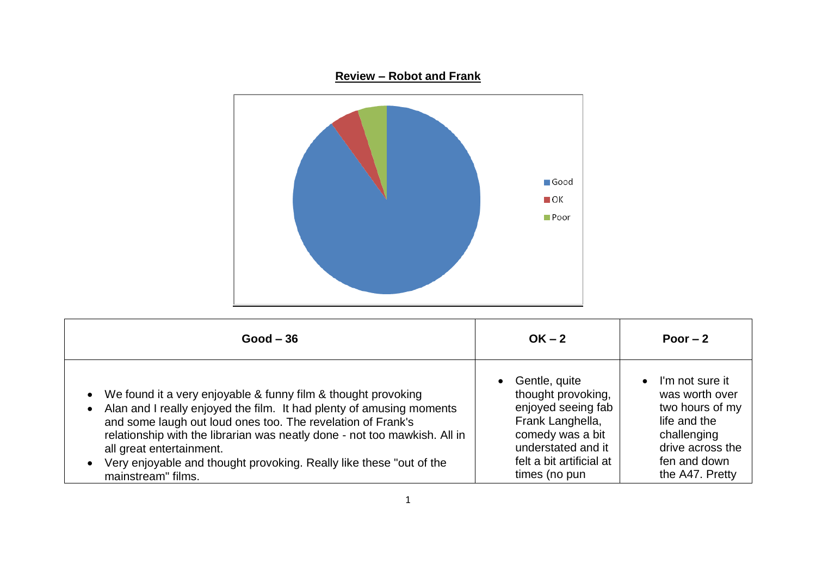

| $Good - 36$                                                                                                                                                                                                                                                                                                                                                                                                  | $OK - 2$                                                                                                                                                                          | Poor $-2$                                                                                                                                               |
|--------------------------------------------------------------------------------------------------------------------------------------------------------------------------------------------------------------------------------------------------------------------------------------------------------------------------------------------------------------------------------------------------------------|-----------------------------------------------------------------------------------------------------------------------------------------------------------------------------------|---------------------------------------------------------------------------------------------------------------------------------------------------------|
| • We found it a very enjoyable & funny film & thought provoking<br>Alan and I really enjoyed the film. It had plenty of amusing moments<br>and some laugh out loud ones too. The revelation of Frank's<br>relationship with the librarian was neatly done - not too mawkish. All in<br>all great entertainment.<br>Very enjoyable and thought provoking. Really like these "out of the<br>mainstream" films. | Gentle, quite<br>$\bullet$<br>thought provoking,<br>enjoyed seeing fab<br>Frank Langhella,<br>comedy was a bit<br>understated and it<br>felt a bit artificial at<br>times (no pun | I'm not sure it<br>$\bullet$<br>was worth over<br>two hours of my<br>life and the<br>challenging<br>drive across the<br>fen and down<br>the A47. Pretty |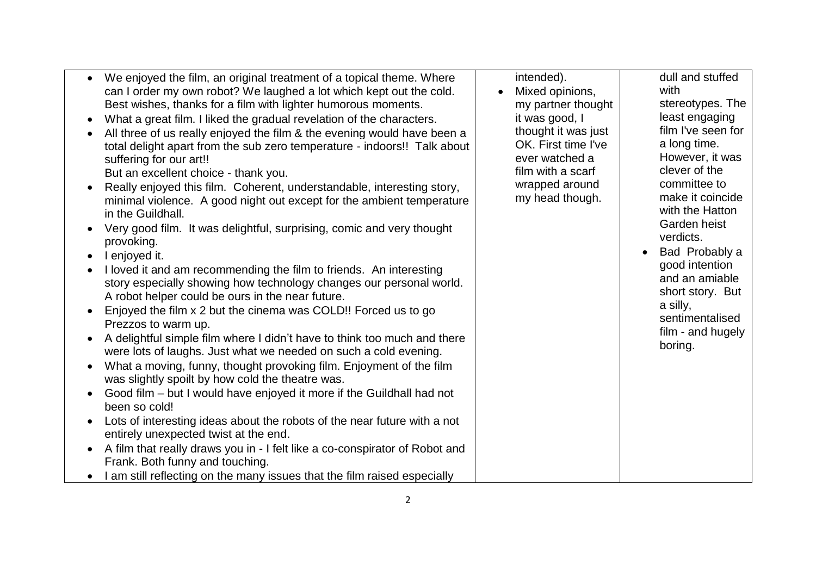| We enjoyed the film, an original treatment of a topical theme. Where<br>can I order my own robot? We laughed a lot which kept out the cold.<br>Best wishes, thanks for a film with lighter humorous moments.<br>What a great film. I liked the gradual revelation of the characters.<br>All three of us really enjoyed the film & the evening would have been a<br>total delight apart from the sub zero temperature - indoors!! Talk about<br>suffering for our art!!<br>But an excellent choice - thank you.<br>Really enjoyed this film. Coherent, understandable, interesting story,<br>minimal violence. A good night out except for the ambient temperature<br>in the Guildhall.<br>Very good film. It was delightful, surprising, comic and very thought<br>provoking.<br>I enjoyed it.<br>I loved it and am recommending the film to friends. An interesting<br>story especially showing how technology changes our personal world.<br>A robot helper could be ours in the near future.<br>Enjoyed the film x 2 but the cinema was COLD!! Forced us to go<br>Prezzos to warm up.<br>A delightful simple film where I didn't have to think too much and there | Mixed opinions,<br>my partner thought<br>it was good, I<br>thought it was just<br>OK. First time I've<br>ever watched a<br>film with a scarf<br>wrapped around<br>my head though. | with<br>stereotypes. The<br>least engaging<br>film I've seen for<br>a long time.<br>However, it was<br>clever of the<br>committee to<br>make it coincide<br>with the Hatton<br>Garden heist<br>verdicts.<br>Bad Probably a<br>good intention<br>and an amiable<br>short story. But<br>a silly,<br>sentimentalised<br>film - and hugely<br>boring. |
|----------------------------------------------------------------------------------------------------------------------------------------------------------------------------------------------------------------------------------------------------------------------------------------------------------------------------------------------------------------------------------------------------------------------------------------------------------------------------------------------------------------------------------------------------------------------------------------------------------------------------------------------------------------------------------------------------------------------------------------------------------------------------------------------------------------------------------------------------------------------------------------------------------------------------------------------------------------------------------------------------------------------------------------------------------------------------------------------------------------------------------------------------------------------|-----------------------------------------------------------------------------------------------------------------------------------------------------------------------------------|---------------------------------------------------------------------------------------------------------------------------------------------------------------------------------------------------------------------------------------------------------------------------------------------------------------------------------------------------|
|----------------------------------------------------------------------------------------------------------------------------------------------------------------------------------------------------------------------------------------------------------------------------------------------------------------------------------------------------------------------------------------------------------------------------------------------------------------------------------------------------------------------------------------------------------------------------------------------------------------------------------------------------------------------------------------------------------------------------------------------------------------------------------------------------------------------------------------------------------------------------------------------------------------------------------------------------------------------------------------------------------------------------------------------------------------------------------------------------------------------------------------------------------------------|-----------------------------------------------------------------------------------------------------------------------------------------------------------------------------------|---------------------------------------------------------------------------------------------------------------------------------------------------------------------------------------------------------------------------------------------------------------------------------------------------------------------------------------------------|